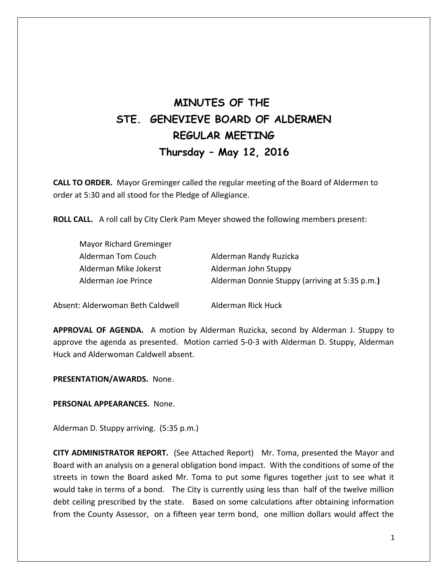# **MINUTES OF THE STE. GENEVIEVE BOARD OF ALDERMEN REGULAR MEETING Thursday – May 12, 2016**

**CALL TO ORDER.** Mayor Greminger called the regular meeting of the Board of Aldermen to order at 5:30 and all stood for the Pledge of Allegiance.

**ROLL CALL.** A roll call by City Clerk Pam Meyer showed the following members present:

| Mayor Richard Greminger |                                                |
|-------------------------|------------------------------------------------|
| Alderman Tom Couch      | Alderman Randy Ruzicka                         |
| Alderman Mike Jokerst   | Alderman John Stuppy                           |
| Alderman Joe Prince     | Alderman Donnie Stuppy (arriving at 5:35 p.m.) |
|                         |                                                |

Absent: Alderwoman Beth Caldwell Alderman Rick Huck

**APPROVAL OF AGENDA.** A motion by Alderman Ruzicka, second by Alderman J. Stuppy to approve the agenda as presented. Motion carried 5-0-3 with Alderman D. Stuppy, Alderman Huck and Alderwoman Caldwell absent.

**PRESENTATION/AWARDS.** None.

**PERSONAL APPEARANCES.** None.

Alderman D. Stuppy arriving. (5:35 p.m.)

**CITY ADMINISTRATOR REPORT.** (See Attached Report) Mr. Toma, presented the Mayor and Board with an analysis on a general obligation bond impact. With the conditions of some of the streets in town the Board asked Mr. Toma to put some figures together just to see what it would take in terms of a bond. The City is currently using less than half of the twelve million debt ceiling prescribed by the state. Based on some calculations after obtaining information from the County Assessor, on a fifteen year term bond, one million dollars would affect the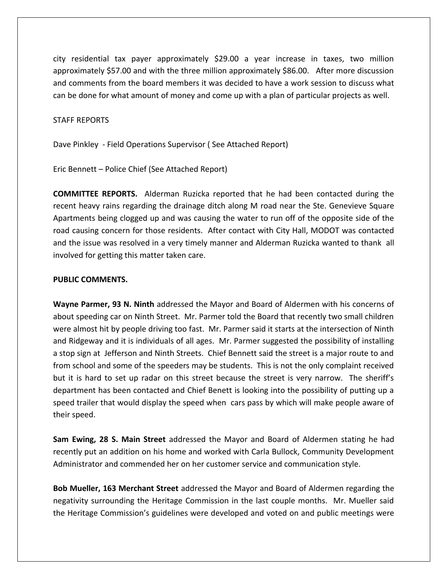city residential tax payer approximately \$29.00 a year increase in taxes, two million approximately \$57.00 and with the three million approximately \$86.00. After more discussion and comments from the board members it was decided to have a work session to discuss what can be done for what amount of money and come up with a plan of particular projects as well.

#### STAFF REPORTS

Dave Pinkley - Field Operations Supervisor ( See Attached Report)

Eric Bennett – Police Chief (See Attached Report)

**COMMITTEE REPORTS.** Alderman Ruzicka reported that he had been contacted during the recent heavy rains regarding the drainage ditch along M road near the Ste. Genevieve Square Apartments being clogged up and was causing the water to run off of the opposite side of the road causing concern for those residents. After contact with City Hall, MODOT was contacted and the issue was resolved in a very timely manner and Alderman Ruzicka wanted to thank all involved for getting this matter taken care.

#### **PUBLIC COMMENTS.**

**Wayne Parmer, 93 N. Ninth** addressed the Mayor and Board of Aldermen with his concerns of about speeding car on Ninth Street. Mr. Parmer told the Board that recently two small children were almost hit by people driving too fast. Mr. Parmer said it starts at the intersection of Ninth and Ridgeway and it is individuals of all ages. Mr. Parmer suggested the possibility of installing a stop sign at Jefferson and Ninth Streets. Chief Bennett said the street is a major route to and from school and some of the speeders may be students. This is not the only complaint received but it is hard to set up radar on this street because the street is very narrow. The sheriff's department has been contacted and Chief Benett is looking into the possibility of putting up a speed trailer that would display the speed when cars pass by which will make people aware of their speed.

**Sam Ewing, 28 S. Main Street** addressed the Mayor and Board of Aldermen stating he had recently put an addition on his home and worked with Carla Bullock, Community Development Administrator and commended her on her customer service and communication style.

**Bob Mueller, 163 Merchant Street** addressed the Mayor and Board of Aldermen regarding the negativity surrounding the Heritage Commission in the last couple months. Mr. Mueller said the Heritage Commission's guidelines were developed and voted on and public meetings were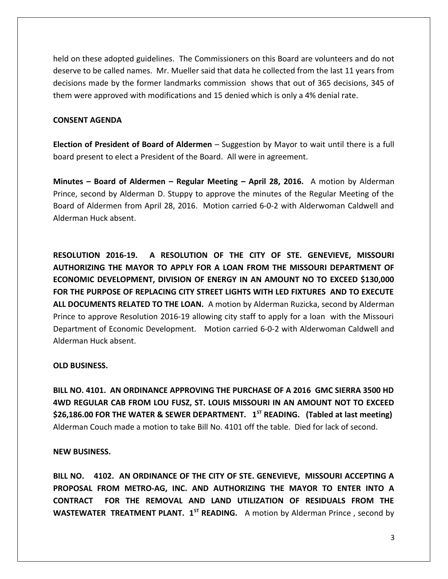held on these adopted guidelines. The Commissioners on this Board are volunteers and do not deserve to be called names. Mr. Mueller said that data he collected from the last 11 years from decisions made by the former landmarks commission shows that out of 365 decisions, 345 of them were approved with modifications and 15 denied which is only a 4% denial rate.

## **CONSENT AGENDA**

**Election of President of Board of Aldermen** – Suggestion by Mayor to wait until there is a full board present to elect a President of the Board. All were in agreement.

**Minutes – Board of Aldermen – Regular Meeting – April 28, 2016.** A motion by Alderman Prince, second by Alderman D. Stuppy to approve the minutes of the Regular Meeting of the Board of Aldermen from April 28, 2016. Motion carried 6-0-2 with Alderwoman Caldwell and Alderman Huck absent.

**RESOLUTION 2016-19. A RESOLUTION OF THE CITY OF STE. GENEVIEVE, MISSOURI AUTHORIZING THE MAYOR TO APPLY FOR A LOAN FROM THE MISSOURI DEPARTMENT OF ECONOMIC DEVELOPMENT, DIVISION OF ENERGY IN AN AMOUNT NO TO EXCEED \$130,000 FOR THE PURPOSE OF REPLACING CITY STREET LIGHTS WITH LED FIXTURES AND TO EXECUTE ALL DOCUMENTS RELATED TO THE LOAN.** A motion by Alderman Ruzicka, second by Alderman Prince to approve Resolution 2016-19 allowing city staff to apply for a loan with the Missouri Department of Economic Development. Motion carried 6-0-2 with Alderwoman Caldwell and Alderman Huck absent.

# **OLD BUSINESS.**

**BILL NO. 4101. AN ORDINANCE APPROVING THE PURCHASE OF A 2016 GMC SIERRA 3500 HD 4WD REGULAR CAB FROM LOU FUSZ, ST. LOUIS MISSOURI IN AN AMOUNT NOT TO EXCEED \$26,186.00 FOR THE WATER & SEWER DEPARTMENT. 1ST READING. (Tabled at last meeting)** Alderman Couch made a motion to take Bill No. 4101 off the table. Died for lack of second.

### **NEW BUSINESS.**

**BILL NO. 4102. AN ORDINANCE OF THE CITY OF STE. GENEVIEVE, MISSOURI ACCEPTING A PROPOSAL FROM METRO-AG, INC. AND AUTHORIZING THE MAYOR TO ENTER INTO A CONTRACT FOR THE REMOVAL AND LAND UTILIZATION OF RESIDUALS FROM THE WASTEWATER TREATMENT PLANT. 1<sup>ST</sup> READING.** A motion by Alderman Prince, second by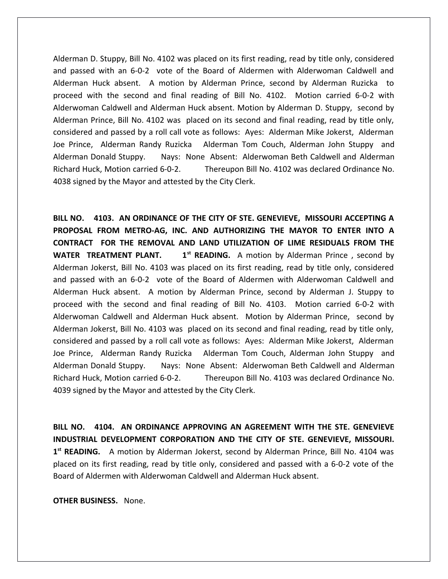Alderman D. Stuppy, Bill No. 4102 was placed on its first reading, read by title only, considered and passed with an 6-0-2 vote of the Board of Aldermen with Alderwoman Caldwell and Alderman Huck absent. A motion by Alderman Prince, second by Alderman Ruzicka to proceed with the second and final reading of Bill No. 4102. Motion carried 6-0-2 with Alderwoman Caldwell and Alderman Huck absent. Motion by Alderman D. Stuppy, second by Alderman Prince, Bill No. 4102 was placed on its second and final reading, read by title only, considered and passed by a roll call vote as follows: Ayes: Alderman Mike Jokerst, Alderman Joe Prince, Alderman Randy Ruzicka Alderman Tom Couch, Alderman John Stuppy and Alderman Donald Stuppy. Nays: None Absent: Alderwoman Beth Caldwell and Alderman Richard Huck, Motion carried 6-0-2. Thereupon Bill No. 4102 was declared Ordinance No. 4038 signed by the Mayor and attested by the City Clerk.

**BILL NO. 4103. AN ORDINANCE OF THE CITY OF STE. GENEVIEVE, MISSOURI ACCEPTING A PROPOSAL FROM METRO-AG, INC. AND AUTHORIZING THE MAYOR TO ENTER INTO A CONTRACT FOR THE REMOVAL AND LAND UTILIZATION OF LIME RESIDUALS FROM THE WATER TREATMENT PLANT.** 1<sup>st</sup> READING. A motion by Alderman Prince, second by Alderman Jokerst, Bill No. 4103 was placed on its first reading, read by title only, considered and passed with an 6-0-2 vote of the Board of Aldermen with Alderwoman Caldwell and Alderman Huck absent. A motion by Alderman Prince, second by Alderman J. Stuppy to proceed with the second and final reading of Bill No. 4103. Motion carried 6-0-2 with Alderwoman Caldwell and Alderman Huck absent. Motion by Alderman Prince, second by Alderman Jokerst, Bill No. 4103 was placed on its second and final reading, read by title only, considered and passed by a roll call vote as follows: Ayes: Alderman Mike Jokerst, Alderman Joe Prince, Alderman Randy Ruzicka Alderman Tom Couch, Alderman John Stuppy and Alderman Donald Stuppy. Nays: None Absent: Alderwoman Beth Caldwell and Alderman Richard Huck, Motion carried 6-0-2. Thereupon Bill No. 4103 was declared Ordinance No. 4039 signed by the Mayor and attested by the City Clerk.

**BILL NO. 4104. AN ORDINANCE APPROVING AN AGREEMENT WITH THE STE. GENEVIEVE INDUSTRIAL DEVELOPMENT CORPORATION AND THE CITY OF STE. GENEVIEVE, MISSOURI.** 1<sup>st</sup> READING. A motion by Alderman Jokerst, second by Alderman Prince, Bill No. 4104 was placed on its first reading, read by title only, considered and passed with a 6-0-2 vote of the Board of Aldermen with Alderwoman Caldwell and Alderman Huck absent.

**OTHER BUSINESS.** None.